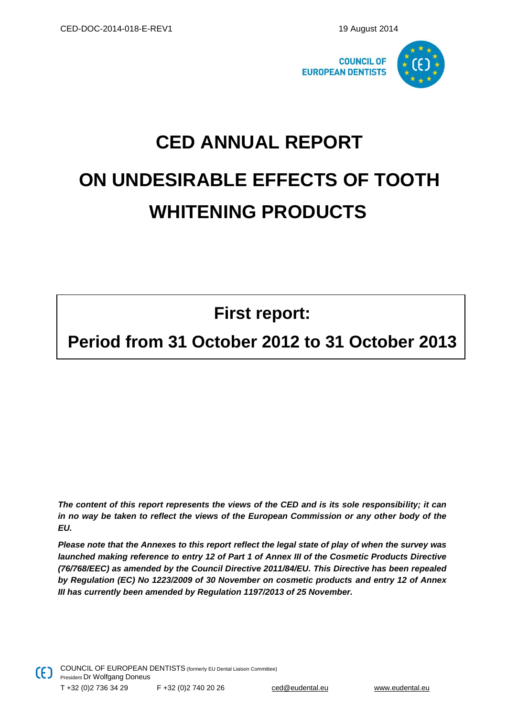

# **CED ANNUAL REPORT ON UNDESIRABLE EFFECTS OF TOOTH WHITENING PRODUCTS**

**First report:**

## **Period from 31 October 2012 to 31 October 2013**

*The content of this report represents the views of the CED and is its sole responsibility; it can in no way be taken to reflect the views of the European Commission or any other body of the EU.*

*Please note that the Annexes to this report reflect the legal state of play of when the survey was launched making reference to entry 12 of Part 1 of Annex III of the Cosmetic Products Directive (76/768/EEC) as amended by the [Council Directive 2011/84/EU.](http://eur-lex.europa.eu/LexUriServ/LexUriServ.do?uri=OJ:L:2011:283:0036:0038:EN:PDF) This Directive has been repealed by [Regulation \(EC\) No 1223/2009 of 30 November on cosmetic products](http://eur-lex.europa.eu/LexUriServ/LexUriServ.do?uri=OJ:L:2009:342:0059:0209:en:PDF) and entry 12 of Annex III has currently been amended by [Regulation 1197/2013 of 25 November.](http://eur-lex.europa.eu/LexUriServ/LexUriServ.do?uri=OJ:L:2013:315:0034:0066:EN:PDF)*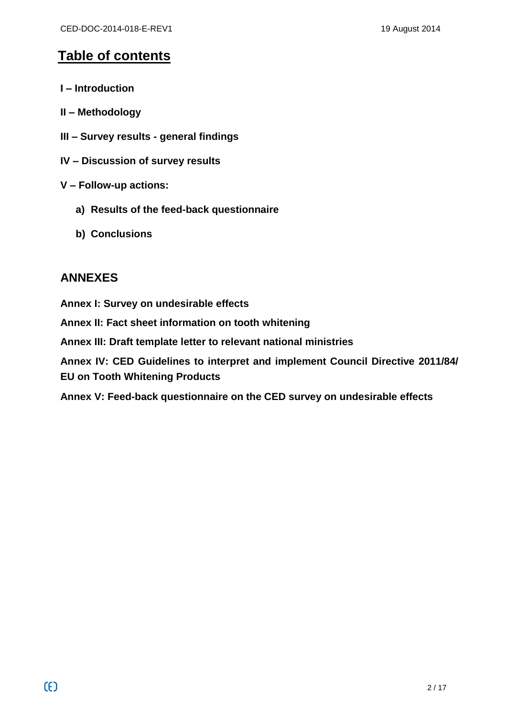## **Table of contents**

- **I – Introduction**
- **II – Methodology**
- **III – Survey results - general findings**
- **IV – Discussion of survey results**
- **V – Follow-up actions:**
	- **a) Results of the feed-back questionnaire**
	- **b) Conclusions**

## **ANNEXES**

**Annex I: Survey on undesirable effects Annex II: Fact sheet information on tooth whitening Annex III: Draft template letter to relevant national ministries Annex IV: CED Guidelines to interpret and implement Council Directive 2011/84/ EU on Tooth Whitening Products**

**Annex V: Feed-back questionnaire on the CED survey on undesirable effects**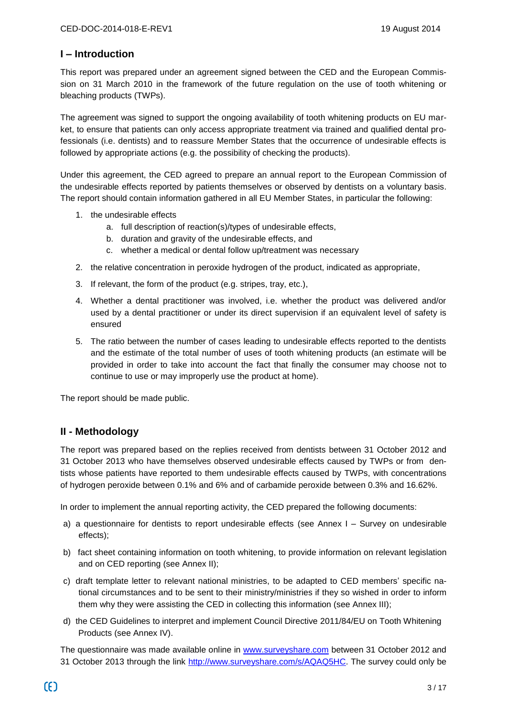#### **I – Introduction**

This report was prepared under an agreement signed between the CED and the European Commission on 31 March 2010 in the framework of the future regulation on the use of tooth whitening or bleaching products (TWPs).

The agreement was signed to support the ongoing availability of tooth whitening products on EU market, to ensure that patients can only access appropriate treatment via trained and qualified dental professionals (i.e. dentists) and to reassure Member States that the occurrence of undesirable effects is followed by appropriate actions (e.g. the possibility of checking the products).

Under this agreement, the CED agreed to prepare an annual report to the European Commission of the undesirable effects reported by patients themselves or observed by dentists on a voluntary basis. The report should contain information gathered in all EU Member States, in particular the following:

- 1. the undesirable effects
	- a. full description of reaction(s)/types of undesirable effects,
	- b. duration and gravity of the undesirable effects, and
	- c. whether a medical or dental follow up/treatment was necessary
- 2. the relative concentration in peroxide hydrogen of the product, indicated as appropriate,
- 3. If relevant, the form of the product (e.g. stripes, tray, etc.),
- 4. Whether a dental practitioner was involved, i.e. whether the product was delivered and/or used by a dental practitioner or under its direct supervision if an equivalent level of safety is ensured
- 5. The ratio between the number of cases leading to undesirable effects reported to the dentists and the estimate of the total number of uses of tooth whitening products (an estimate will be provided in order to take into account the fact that finally the consumer may choose not to continue to use or may improperly use the product at home).

The report should be made public.

#### **II - Methodology**

The report was prepared based on the replies received from dentists between 31 October 2012 and 31 October 2013 who have themselves observed undesirable effects caused by TWPs or from dentists whose patients have reported to them undesirable effects caused by TWPs, with concentrations of hydrogen peroxide between 0.1% and 6% and of carbamide peroxide between 0.3% and 16.62%.

In order to implement the annual reporting activity, the CED prepared the following documents:

- a) a questionnaire for dentists to report undesirable effects (see Annex I Survey on undesirable effects);
- b) fact sheet containing information on tooth whitening, to provide information on relevant legislation and on CED reporting (see Annex II);
- c) draft template letter to relevant national ministries, to be adapted to CED members' specific national circumstances and to be sent to their ministry/ministries if they so wished in order to inform them why they were assisting the CED in collecting this information (see Annex III);
- d) the CED Guidelines to interpret and implement Council Directive 2011/84/EU on Tooth Whitening Products (see Annex IV).

The questionnaire was made available online in [www.surveyshare.com](http://www.surveyshare.com/) between 31 October 2012 and 31 October 2013 through the link [http://www.surveyshare.com/s/AQAQ5HC.](http://www.surveyshare.com/s/AQAQ5HC) The survey could only be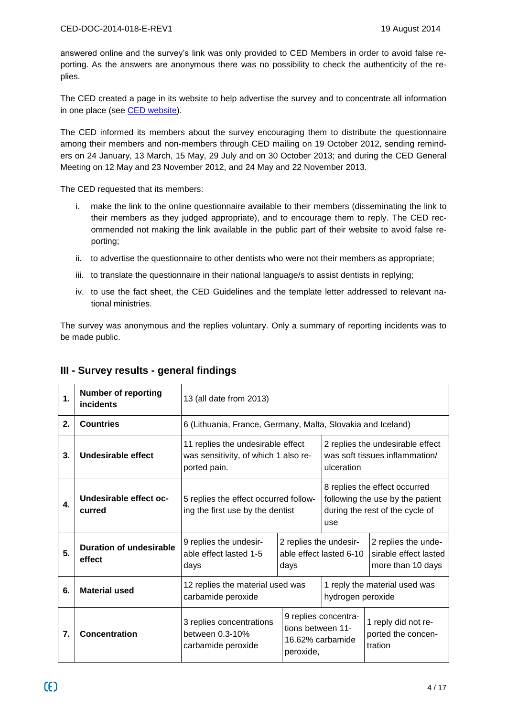answered online and the survey's link was only provided to CED Members in order to avoid false reporting. As the answers are anonymous there was no possibility to check the authenticity of the replies.

The CED created a page in its website to help advertise the survey and to concentrate all information in one place (see [CED website\)](http://www.eudental.eu/index.php?ID=44629).

The CED informed its members about the survey encouraging them to distribute the questionnaire among their members and non-members through CED mailing on 19 October 2012, sending reminders on 24 January, 13 March, 15 May, 29 July and on 30 October 2013; and during the CED General Meeting on 12 May and 23 November 2012, and 24 May and 22 November 2013.

The CED requested that its members:

- i. make the link to the online questionnaire available to their members (disseminating the link to their members as they judged appropriate), and to encourage them to reply. The CED recommended not making the link available in the public part of their website to avoid false reporting;
- ii. to advertise the questionnaire to other dentists who were not their members as appropriate;
- iii. to translate the questionnaire in their national language/s to assist dentists in replying;
- iv. to use the fact sheet, the CED Guidelines and the template letter addressed to relevant national ministries.

The survey was anonymous and the replies voluntary. Only a summary of reporting incidents was to be made public.

| $\mathbf 1$ | <b>Number of reporting</b><br>incidents | 13 (all date from 2013)                                                                   |                                                           |                                                                                                                       |                                                                   |  |
|-------------|-----------------------------------------|-------------------------------------------------------------------------------------------|-----------------------------------------------------------|-----------------------------------------------------------------------------------------------------------------------|-------------------------------------------------------------------|--|
| 2.          | <b>Countries</b>                        | 6 (Lithuania, France, Germany, Malta, Slovakia and Iceland)                               |                                                           |                                                                                                                       |                                                                   |  |
| 3.          | Undesirable effect                      | 11 replies the undesirable effect<br>was sensitivity, of which 1 also re-<br>ported pain. |                                                           | 2 replies the undesirable effect<br>was soft tissues inflammation/<br>ulceration                                      |                                                                   |  |
| 4.          | Undesirable effect oc-<br>curred        | 5 replies the effect occurred follow-<br>ing the first use by the dentist                 |                                                           | 8 replies the effect occurred<br>following the use by the patient<br>during the rest of the cycle of<br>use           |                                                                   |  |
| 5.          | Duration of undesirable<br>effect       | 9 replies the undesir-<br>able effect lasted 1-5<br>days                                  | 2 replies the undesir-<br>able effect lasted 6-10<br>days |                                                                                                                       | 2 replies the unde-<br>sirable effect lasted<br>more than 10 days |  |
| 6.          | <b>Material used</b>                    | 12 replies the material used was<br>carbamide peroxide                                    |                                                           | 1 reply the material used was<br>hydrogen peroxide                                                                    |                                                                   |  |
| 7.          | Concentration                           | 3 replies concentrations<br>between 0.3-10%<br>carbamide peroxide                         | peroxide,                                                 | 9 replies concentra-<br>1 reply did not re-<br>tions between 11-<br>ported the concen-<br>16.62% carbamide<br>tration |                                                                   |  |

#### **III - Survey results - general findings**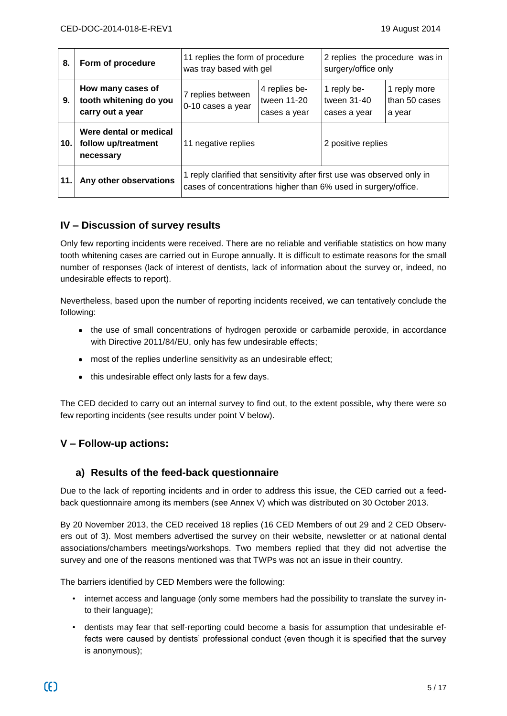| 8.  | Form of procedure                                               | 11 replies the form of procedure<br>was tray based with gel                                                                               |                                              | 2 replies the procedure was in<br>surgery/office only |                                         |
|-----|-----------------------------------------------------------------|-------------------------------------------------------------------------------------------------------------------------------------------|----------------------------------------------|-------------------------------------------------------|-----------------------------------------|
| 9.  | How many cases of<br>tooth whitening do you<br>carry out a year | 7 replies between<br>0-10 cases a year                                                                                                    | 4 replies be-<br>tween 11-20<br>cases a year | 1 reply be-<br>tween 31-40<br>cases a year            | 1 reply more<br>than 50 cases<br>a year |
| 10. | Were dental or medical<br>follow up/treatment<br>necessary      | 11 negative replies                                                                                                                       |                                              | 2 positive replies                                    |                                         |
| 11. | Any other observations                                          | 1 reply clarified that sensitivity after first use was observed only in<br>cases of concentrations higher than 6% used in surgery/office. |                                              |                                                       |                                         |

#### **IV – Discussion of survey results**

Only few reporting incidents were received. There are no reliable and verifiable statistics on how many tooth whitening cases are carried out in Europe annually. It is difficult to estimate reasons for the small number of responses (lack of interest of dentists, lack of information about the survey or, indeed, no undesirable effects to report).

Nevertheless, based upon the number of reporting incidents received, we can tentatively conclude the following:

- the use of small concentrations of hydrogen peroxide or carbamide peroxide, in accordance with Directive 2011/84/EU, only has few undesirable effects;
- most of the replies underline sensitivity as an undesirable effect;
- this undesirable effect only lasts for a few days.

The CED decided to carry out an internal survey to find out, to the extent possible, why there were so few reporting incidents (see results under point V below).

#### **V – Follow-up actions:**

#### **a) Results of the feed-back questionnaire**

Due to the lack of reporting incidents and in order to address this issue, the CED carried out a feedback questionnaire among its members (see Annex V) which was distributed on 30 October 2013.

By 20 November 2013, the CED received 18 replies (16 CED Members of out 29 and 2 CED Observers out of 3). Most members advertised the survey on their website, newsletter or at national dental associations/chambers meetings/workshops. Two members replied that they did not advertise the survey and one of the reasons mentioned was that TWPs was not an issue in their country.

The barriers identified by CED Members were the following:

- internet access and language (only some members had the possibility to translate the survey into their language);
- dentists may fear that self-reporting could become a basis for assumption that undesirable effects were caused by dentists' professional conduct (even though it is specified that the survey is anonymous);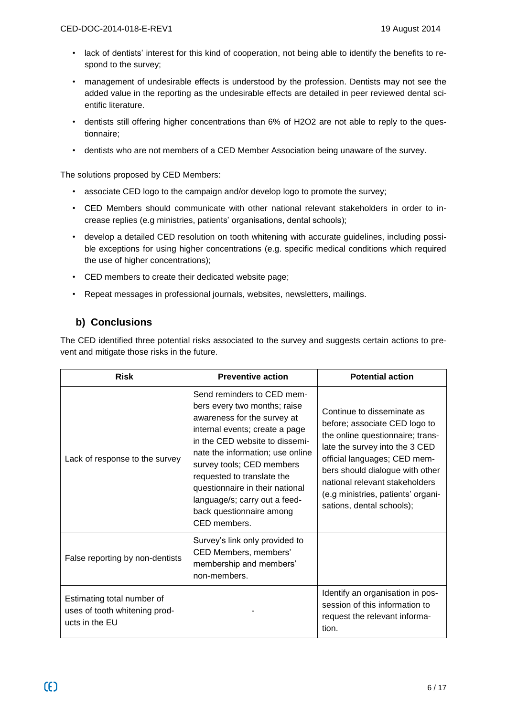- lack of dentists' interest for this kind of cooperation, not being able to identify the benefits to respond to the survey;
- management of undesirable effects is understood by the profession. Dentists may not see the added value in the reporting as the undesirable effects are detailed in peer reviewed dental scientific literature.
- dentists still offering higher concentrations than 6% of H2O2 are not able to reply to the questionnaire;
- dentists who are not members of a CED Member Association being unaware of the survey.

The solutions proposed by CED Members:

- associate CED logo to the campaign and/or develop logo to promote the survey;
- CED Members should communicate with other national relevant stakeholders in order to increase replies (e.g ministries, patients' organisations, dental schools);
- develop a detailed CED resolution on tooth whitening with accurate guidelines, including possible exceptions for using higher concentrations (e.g. specific medical conditions which required the use of higher concentrations);
- CED members to create their dedicated website page;
- Repeat messages in professional journals, websites, newsletters, mailings.

#### **b) Conclusions**

The CED identified three potential risks associated to the survey and suggests certain actions to prevent and mitigate those risks in the future.

| <b>Risk</b>                                                                   | <b>Preventive action</b>                                                                                                                                                                                                                                                                                                                                                     | <b>Potential action</b>                                                                                                                                                                                                                                                                                   |
|-------------------------------------------------------------------------------|------------------------------------------------------------------------------------------------------------------------------------------------------------------------------------------------------------------------------------------------------------------------------------------------------------------------------------------------------------------------------|-----------------------------------------------------------------------------------------------------------------------------------------------------------------------------------------------------------------------------------------------------------------------------------------------------------|
| Lack of response to the survey                                                | Send reminders to CED mem-<br>bers every two months; raise<br>awareness for the survey at<br>internal events; create a page<br>in the CED website to dissemi-<br>nate the information; use online<br>survey tools; CED members<br>requested to translate the<br>questionnaire in their national<br>language/s; carry out a feed-<br>back questionnaire among<br>CED members. | Continue to disseminate as<br>before; associate CED logo to<br>the online questionnaire; trans-<br>late the survey into the 3 CED<br>official languages; CED mem-<br>bers should dialogue with other<br>national relevant stakeholders<br>(e.g ministries, patients' organi-<br>sations, dental schools); |
| False reporting by non-dentists                                               | Survey's link only provided to<br>CED Members, members'<br>membership and members'<br>non-members.                                                                                                                                                                                                                                                                           |                                                                                                                                                                                                                                                                                                           |
| Estimating total number of<br>uses of tooth whitening prod-<br>ucts in the EU |                                                                                                                                                                                                                                                                                                                                                                              | Identify an organisation in pos-<br>session of this information to<br>request the relevant informa-<br>tion.                                                                                                                                                                                              |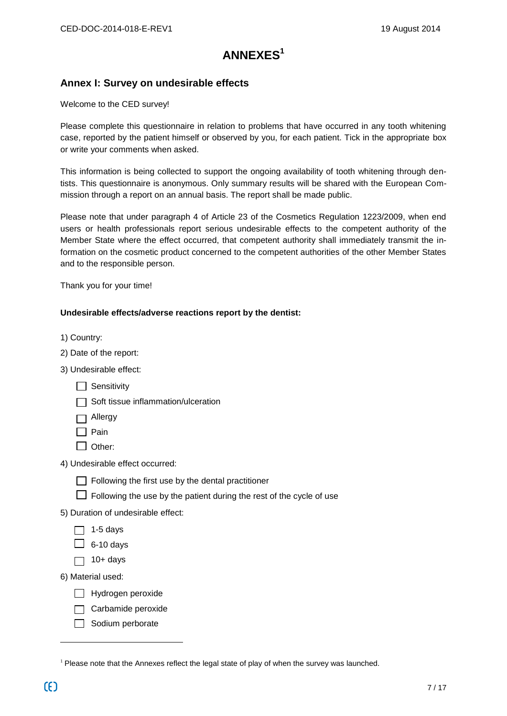## **ANNEXES<sup>1</sup>**

#### **Annex I: Survey on undesirable effects**

Welcome to the CED survey!

Please complete this questionnaire in relation to problems that have occurred in any tooth whitening case, reported by the patient himself or observed by you, for each patient. Tick in the appropriate box or write your comments when asked.

This information is being collected to support the ongoing availability of tooth whitening through dentists. This questionnaire is anonymous. Only summary results will be shared with the European Commission through a report on an annual basis. The report shall be made public.

Please note that under paragraph 4 of Article 23 of the Cosmetics Regulation 1223/2009, when end users or health professionals report serious undesirable effects to the competent authority of the Member State where the effect occurred, that competent authority shall immediately transmit the information on the cosmetic product concerned to the competent authorities of the other Member States and to the responsible person.

Thank you for your time!

#### **Undesirable effects/adverse reactions report by the dentist:**

- 1) Country:
- 2) Date of the report:
- 3) Undesirable effect:
	- $\Box$  Sensitivity
	- $\Box$  Soft tissue inflammation/ulceration
	- Allergy
	- $\Box$  Pain
	- $\Box$  Other:
- 4) Undesirable effect occurred:
	- $\Box$  Following the first use by the dental practitioner
	- $\Box$  Following the use by the patient during the rest of the cycle of use
- 5) Duration of undesirable effect:
	- $\Box$  1-5 days
	- $\Box$  6-10 days
	- $\Box$  10+ days
- 6) Material used:
	- $\Box$  Hydrogen peroxide
	- $\Box$  Carbamide peroxide
	- $\Box$  Sodium perborate

<sup>&</sup>lt;sup>1</sup> Please note that the Annexes reflect the legal state of play of when the survey was launched.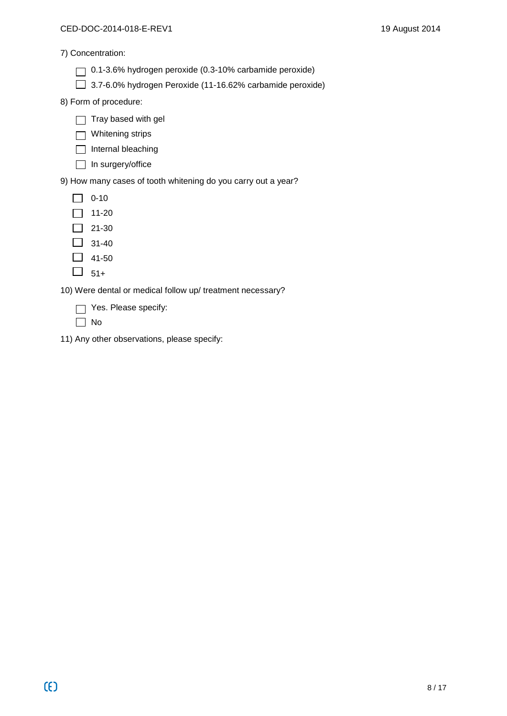7) Concentration:

- 0.1-3.6% hydrogen peroxide (0.3-10% carbamide peroxide)
- 3.7-6.0% hydrogen Peroxide (11-16.62% carbamide peroxide)

8) Form of procedure:

- $\Box$  Tray based with gel
- □ Whitening strips
- $\Box$  Internal bleaching
- $\Box$  In surgery/office

9) How many cases of tooth whitening do you carry out a year?

- $\Box$  0-10
- $\boxed{ } 11-20$
- $\boxed{)} 21-30$
- $\boxed{\phantom{0}}$  31-40
- $\Box$  41-50
- $\Box$  51+

10) Were dental or medical follow up/ treatment necessary?

- Yes. Please specify:
- $\Box$  No
- 11) Any other observations, please specify: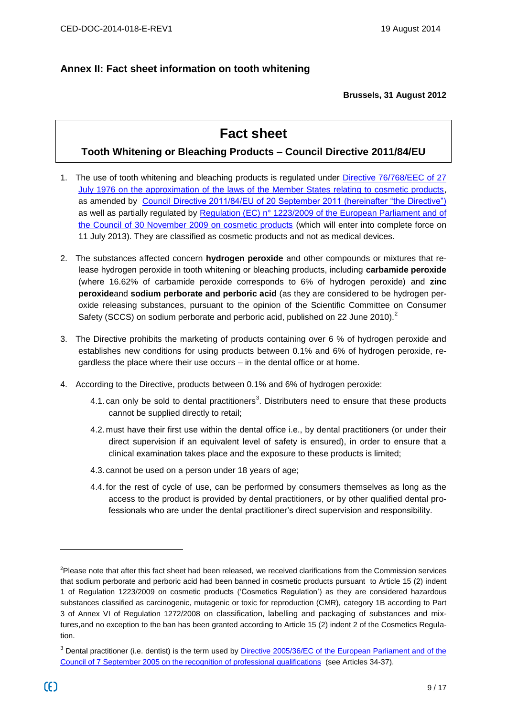#### **Annex II: Fact sheet information on tooth whitening**

#### **Brussels, 31 August 2012**

## **Fact sheet**

#### **Tooth Whitening or Bleaching Products – Council Directive 2011/84/EU**

- 1. The use of tooth whitening and bleaching products is regulated under [Directive 76/768/EEC of 27](http://eur-lex.europa.eu/LexUriServ/LexUriServ.do?uri=CONSLEG:1976L0768:20111118:EN:PDF)  [July 1976 on the approximation of the laws of the Member States relating to cosmetic products,](http://eur-lex.europa.eu/LexUriServ/LexUriServ.do?uri=CONSLEG:1976L0768:20111118:EN:PDF) as amended by [Council Directive 2011/84/EU of 20 September 2011 \(hereinafter "the Directive"\)](http://eur-lex.europa.eu/LexUriServ/LexUriServ.do?uri=OJ:L:2011:283:0036:0038:EN:PDF) as well as partially regulated by Regulation (EC) n° 1223/2009 of the European Parliament and of [the Council of 30 November 2009 on cosmetic products](http://eur-lex.europa.eu/LexUriServ/LexUriServ.do?uri=OJ:L:2009:342:0059:0209:EN:PDF) (which will enter into complete force on 11 July 2013). They are classified as cosmetic products and not as medical devices.
- 2. The substances affected concern **hydrogen peroxide** and other compounds or mixtures that release hydrogen peroxide in tooth whitening or bleaching products, including **carbamide peroxide** (where 16.62% of carbamide peroxide corresponds to 6% of hydrogen peroxide) and **zinc peroxide**and **sodium perborate and perboric acid** (as they are considered to be hydrogen peroxide releasing substances, pursuant to the opinion of the Scientific Committee on Consumer Safety (SCCS) on sodium perborate and perboric acid, published on 22 June 2010).<sup>2</sup>
- 3. The Directive prohibits the marketing of products containing over 6 % of hydrogen peroxide and establishes new conditions for using products between 0.1% and 6% of hydrogen peroxide, regardless the place where their use occurs – in the dental office or at home.
- 4. According to the Directive, products between 0.1% and 6% of hydrogen peroxide:
	- 4.1. can only be sold to dental practitioners<sup>3</sup>. Distributers need to ensure that these products cannot be supplied directly to retail;
	- 4.2. must have their first use within the dental office i.e., by dental practitioners (or under their direct supervision if an equivalent level of safety is ensured), in order to ensure that a clinical examination takes place and the exposure to these products is limited;
	- 4.3. cannot be used on a person under 18 years of age;
	- 4.4. for the rest of cycle of use, can be performed by consumers themselves as long as the access to the product is provided by dental practitioners, or by other qualified dental professionals who are under the dental practitioner's direct supervision and responsibility.

<sup>&</sup>lt;sup>2</sup>Please note that after this fact sheet had been released, we received clarifications from the Commission services that sodium perborate and perboric acid had been banned in cosmetic products pursuant to Article 15 (2) indent 1 of Regulation 1223/2009 on cosmetic products ('Cosmetics Regulation') as they are considered hazardous substances classified as carcinogenic, mutagenic or toxic for reproduction (CMR), category 1B according to Part 3 of Annex VI of Regulation 1272/2008 on classification, labelling and packaging of substances and mixtures,and no exception to the ban has been granted according to Article 15 (2) indent 2 of the Cosmetics Regulation.

<sup>&</sup>lt;sup>3</sup> Dental practitioner (i.e. dentist) is the term used by *Directive 2005/36/EC of the European Parliament and of the* [Council of 7 September 2005 on the recognition of professional qualifications](http://eur-lex.europa.eu/LexUriServ/LexUriServ.do?uri=CONSLEG:2005L0036:20110324:EN:PDF) (see Articles 34-37).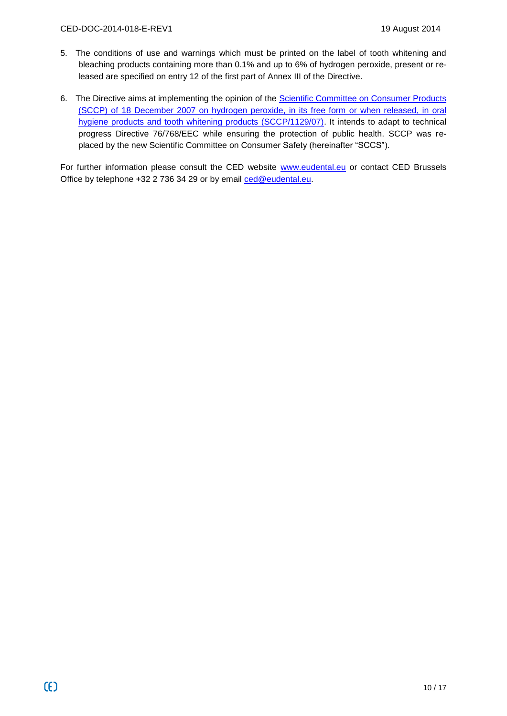- 5. The conditions of use and warnings which must be printed on the label of tooth whitening and bleaching products containing more than 0.1% and up to 6% of hydrogen peroxide, present or released are specified on entry 12 of the first part of Annex III of the Directive.
- 6. The Directive aims at implementing the opinion of the [Scientific Committee on Consumer Products](http://ec.europa.eu/health/ph_risk/committees/04_sccp/docs/sccp_o_122.pdf)  [\(SCCP\) of 18 December 2007 on hydrogen peroxide, in its free form or when released, in oral](http://ec.europa.eu/health/ph_risk/committees/04_sccp/docs/sccp_o_122.pdf)  [hygiene products and tooth whitening products \(SCCP/1129/07\).](http://ec.europa.eu/health/ph_risk/committees/04_sccp/docs/sccp_o_122.pdf) It intends to adapt to technical progress Directive 76/768/EEC while ensuring the protection of public health. SCCP was replaced by the new Scientific Committee on Consumer Safety (hereinafter "SCCS").

For further information please consult the CED website [www.eudental.eu](http://www.eudental.eu/) or contact CED Brussels Office by telephone +32 2 736 34 29 or by email [ced@eudental.eu.](mailto:ced@eudental.eu)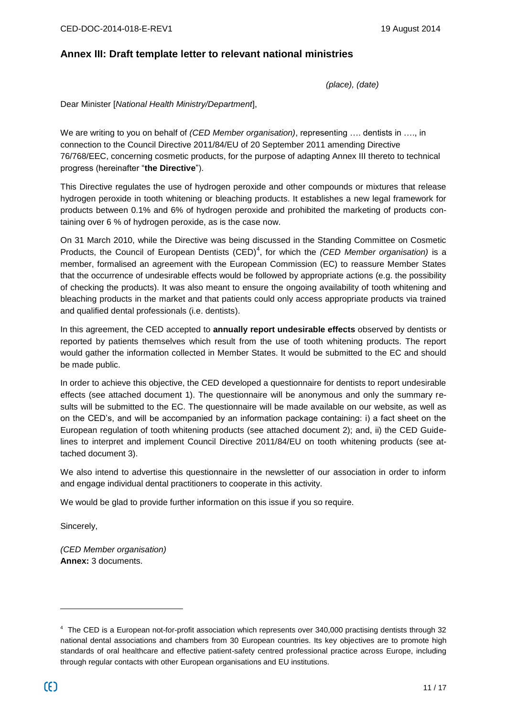#### **Annex III: Draft template letter to relevant national ministries**

*(place), (date)*

Dear Minister [*National Health Ministry/Department*],

We are writing to you on behalf of *(CED Member organisation)*, representing …. dentists in …., in connection to the Council Directive 2011/84/EU of 20 September 2011 amending Directive 76/768/EEC, concerning cosmetic products, for the purpose of adapting Annex III thereto to technical progress (hereinafter "**the Directive**").

This Directive regulates the use of hydrogen peroxide and other compounds or mixtures that release hydrogen peroxide in tooth whitening or bleaching products. It establishes a new legal framework for products between 0.1% and 6% of hydrogen peroxide and prohibited the marketing of products containing over 6 % of hydrogen peroxide, as is the case now.

On 31 March 2010, while the Directive was being discussed in the Standing Committee on Cosmetic Products, the Council of European Dentists (CED)<sup>4</sup>, for which the *(CED Member organisation)* is a member, formalised an agreement with the European Commission (EC) to reassure Member States that the occurrence of undesirable effects would be followed by appropriate actions (e.g. the possibility of checking the products). It was also meant to ensure the ongoing availability of tooth whitening and bleaching products in the market and that patients could only access appropriate products via trained and qualified dental professionals (i.e. dentists).

In this agreement, the CED accepted to **annually report undesirable effects** observed by dentists or reported by patients themselves which result from the use of tooth whitening products. The report would gather the information collected in Member States. It would be submitted to the EC and should be made public.

In order to achieve this objective, the CED developed a questionnaire for dentists to report undesirable effects (see attached document 1). The questionnaire will be anonymous and only the summary results will be submitted to the EC. The questionnaire will be made available on our website, as well as on the CED's, and will be accompanied by an information package containing: i) a fact sheet on the European regulation of tooth whitening products (see attached document 2); and, ii) the CED Guidelines to interpret and implement Council Directive 2011/84/EU on tooth whitening products (see attached document 3).

We also intend to advertise this questionnaire in the newsletter of our association in order to inform and engage individual dental practitioners to cooperate in this activity.

We would be glad to provide further information on this issue if you so require.

Sincerely,

*(CED Member organisation)* **Annex:** 3 documents.

<sup>4</sup> The CED is a European not-for-profit association which represents over 340,000 practising dentists through 32 national dental associations and chambers from 30 European countries. Its key objectives are to promote high standards of oral healthcare and effective patient-safety centred professional practice across Europe, including through regular contacts with other European organisations and EU institutions.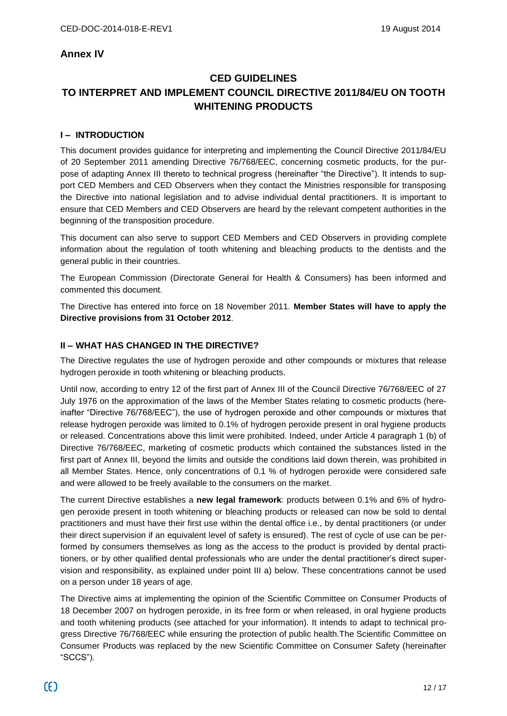#### **Annex IV**

## **CED GUIDELINES TO INTERPRET AND IMPLEMENT COUNCIL DIRECTIVE 2011/84/EU ON TOOTH WHITENING PRODUCTS**

#### **I – INTRODUCTION**

This document provides guidance for interpreting and implementing the Council Directive 2011/84/EU of 20 September 2011 amending Directive 76/768/EEC, concerning cosmetic products, for the purpose of adapting Annex III thereto to technical progress (hereinafter "the Directive"). It intends to support CED Members and CED Observers when they contact the Ministries responsible for transposing the Directive into national legislation and to advise individual dental practitioners. It is important to ensure that CED Members and CED Observers are heard by the relevant competent authorities in the beginning of the transposition procedure.

This document can also serve to support CED Members and CED Observers in providing complete information about the regulation of tooth whitening and bleaching products to the dentists and the general public in their countries.

The European Commission (Directorate General for Health & Consumers) has been informed and commented this document.

The Directive has entered into force on 18 November 2011. **Member States will have to apply the Directive provisions from 31 October 2012**.

#### **II – WHAT HAS CHANGED IN THE DIRECTIVE?**

The Directive regulates the use of hydrogen peroxide and other compounds or mixtures that release hydrogen peroxide in tooth whitening or bleaching products.

Until now, according to entry 12 of the first part of Annex III of the Council Directive 76/768/EEC of 27 July 1976 on the approximation of the laws of the Member States relating to cosmetic products (hereinafter "Directive 76/768/EEC"), the use of hydrogen peroxide and other compounds or mixtures that release hydrogen peroxide was limited to 0.1% of hydrogen peroxide present in oral hygiene products or released. Concentrations above this limit were prohibited. Indeed, under Article 4 paragraph 1 (b) of Directive 76/768/EEC, marketing of cosmetic products which contained the substances listed in the first part of Annex III, beyond the limits and outside the conditions laid down therein, was prohibited in all Member States. Hence, only concentrations of 0.1 % of hydrogen peroxide were considered safe and were allowed to be freely available to the consumers on the market.

The current Directive establishes a **new legal framework**: products between 0.1% and 6% of hydrogen peroxide present in tooth whitening or bleaching products or released can now be sold to dental practitioners and must have their first use within the dental office i.e., by dental practitioners (or under their direct supervision if an equivalent level of safety is ensured). The rest of cycle of use can be performed by consumers themselves as long as the access to the product is provided by dental practitioners, or by other qualified dental professionals who are under the dental practitioner's direct supervision and responsibility, as explained under point III a) below. These concentrations cannot be used on a person under 18 years of age.

The Directive aims at implementing the opinion of the Scientific Committee on Consumer Products of 18 December 2007 on hydrogen peroxide, in its free form or when released, in oral hygiene products and tooth whitening products (see attached for your information). It intends to adapt to technical progress Directive 76/768/EEC while ensuring the protection of public health.The Scientific Committee on Consumer Products was replaced by the new Scientific Committee on Consumer Safety (hereinafter "SCCS").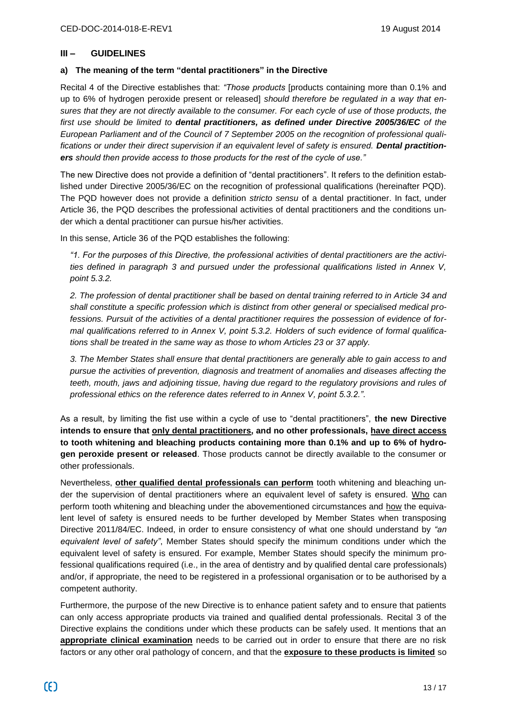#### **III – GUIDELINES**

#### **a) The meaning of the term "dental practitioners" in the Directive**

Recital 4 of the Directive establishes that: *"Those products* [products containing more than 0.1% and up to 6% of hydrogen peroxide present or released] *should therefore be regulated in a way that ensures that they are not directly available to the consumer. For each cycle of use of those products, the first use should be limited to dental practitioners, as defined under Directive 2005/36/EC of the European Parliament and of the Council of 7 September 2005 on the recognition of professional qualifications or under their direct supervision if an equivalent level of safety is ensured. Dental practitioners should then provide access to those products for the rest of the cycle of use."*

The new Directive does not provide a definition of "dental practitioners". It refers to the definition established under Directive 2005/36/EC on the recognition of professional qualifications (hereinafter PQD). The PQD however does not provide a definition *stricto sensu* of a dental practitioner. In fact, under Article 36, the PQD describes the professional activities of dental practitioners and the conditions under which a dental practitioner can pursue his/her activities.

In this sense, Article 36 of the PQD establishes the following:

*"1. For the purposes of this Directive, the professional activities of dental practitioners are the activities defined in paragraph 3 and pursued under the professional qualifications listed in Annex V, point 5.3.2.*

*2. The profession of dental practitioner shall be based on dental training referred to in Article 34 and shall constitute a specific profession which is distinct from other general or specialised medical professions. Pursuit of the activities of a dental practitioner requires the possession of evidence of formal qualifications referred to in Annex V, point 5.3.2. Holders of such evidence of formal qualifications shall be treated in the same way as those to whom Articles 23 or 37 apply.*

*3. The Member States shall ensure that dental practitioners are generally able to gain access to and pursue the activities of prevention, diagnosis and treatment of anomalies and diseases affecting the teeth, mouth, jaws and adjoining tissue, having due regard to the regulatory provisions and rules of professional ethics on the reference dates referred to in Annex V, point 5.3.2."*.

As a result, by limiting the fist use within a cycle of use to "dental practitioners", **the new Directive intends to ensure that only dental practitioners, and no other professionals, have direct access to tooth whitening and bleaching products containing more than 0.1% and up to 6% of hydrogen peroxide present or released**. Those products cannot be directly available to the consumer or other professionals.

Nevertheless, **other qualified dental professionals can perform** tooth whitening and bleaching under the supervision of dental practitioners where an equivalent level of safety is ensured. Who can perform tooth whitening and bleaching under the abovementioned circumstances and how the equivalent level of safety is ensured needs to be further developed by Member States when transposing Directive 2011/84/EC. Indeed, in order to ensure consistency of what one should understand by *"an equivalent level of safety"*, Member States should specify the minimum conditions under which the equivalent level of safety is ensured. For example, Member States should specify the minimum professional qualifications required (i.e., in the area of dentistry and by qualified dental care professionals) and/or, if appropriate, the need to be registered in a professional organisation or to be authorised by a competent authority.

Furthermore, the purpose of the new Directive is to enhance patient safety and to ensure that patients can only access appropriate products via trained and qualified dental professionals. Recital 3 of the Directive explains the conditions under which these products can be safely used. It mentions that an **appropriate clinical examination** needs to be carried out in order to ensure that there are no risk factors or any other oral pathology of concern, and that the **exposure to these products is limited** so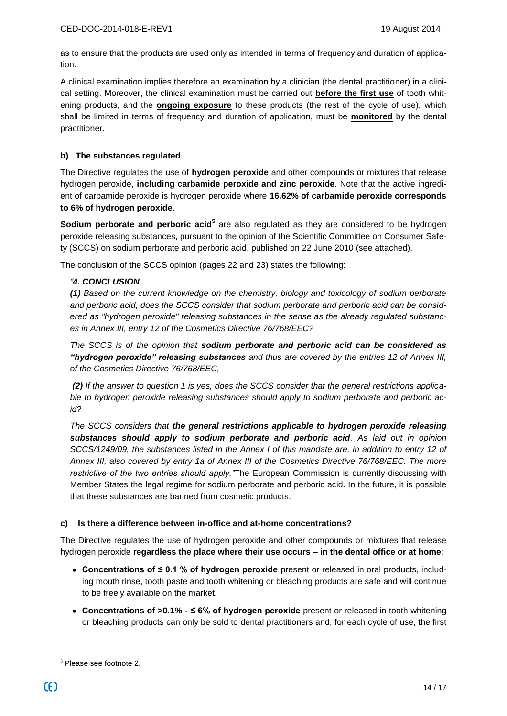as to ensure that the products are used only as intended in terms of frequency and duration of application.

A clinical examination implies therefore an examination by a clinician (the dental practitioner) in a clinical setting. Moreover, the clinical examination must be carried out **before the first use** of tooth whitening products, and the **ongoing exposure** to these products (the rest of the cycle of use), which shall be limited in terms of frequency and duration of application, must be **monitored** by the dental practitioner.

#### **b) The substances regulated**

The Directive regulates the use of **hydrogen peroxide** and other compounds or mixtures that release hydrogen peroxide, **including carbamide peroxide and zinc peroxide**. Note that the active ingredient of carbamide peroxide is hydrogen peroxide where **16.62% of carbamide peroxide corresponds to 6% of hydrogen peroxide**.

**Sodium perborate and perboric acid<sup>5</sup> are also regulated as they are considered to be hydrogen** peroxide releasing substances, pursuant to the opinion of the Scientific Committee on Consumer Safety (SCCS) on sodium perborate and perboric acid, published on 22 June 2010 (see attached).

The conclusion of the SCCS opinion (pages 22 and 23) states the following:

#### *"4. CONCLUSION*

*(1) Based on the current knowledge on the chemistry, biology and toxicology of sodium perborate and perboric acid, does the SCCS consider that sodium perborate and perboric acid can be considered as "hydrogen peroxide" releasing substances in the sense as the already regulated substances in Annex III, entry 12 of the Cosmetics Directive 76/768/EEC?*

*The SCCS is of the opinion that sodium perborate and perboric acid can be considered as "hydrogen peroxide" releasing substances and thus are covered by the entries 12 of Annex III, of the Cosmetics Directive 76/768/EEC,*

*(2) If the answer to question 1 is yes, does the SCCS consider that the general restrictions applicable to hydrogen peroxide releasing substances should apply to sodium perborate and perboric acid?*

*The SCCS considers that the general restrictions applicable to hydrogen peroxide releasing substances should apply to sodium perborate and perboric acid. As laid out in opinion SCCS/1249/09, the substances listed in the Annex I of this mandate are, in addition to entry 12 of Annex III, also covered by entry 1a of Annex III of the Cosmetics Directive 76/768/EEC. The more restrictive of the two entries should apply."*The European Commission is currently discussing with Member States the legal regime for sodium perborate and perboric acid. In the future, it is possible that these substances are banned from cosmetic products.

#### **c) Is there a difference between in-office and at-home concentrations?**

The Directive regulates the use of hydrogen peroxide and other compounds or mixtures that release hydrogen peroxide **regardless the place where their use occurs – in the dental office or at home**:

- **Concentrations of ≤ 0.1 % of hydrogen peroxide** present or released in oral products, including mouth rinse, tooth paste and tooth whitening or bleaching products are safe and will continue to be freely available on the market.
- **Concentrations of >0.1% - ≤ 6% of hydrogen peroxide** present or released in tooth whitening or bleaching products can only be sold to dental practitioners and, for each cycle of use, the first

 $<sup>5</sup>$  Please see footnote 2.</sup>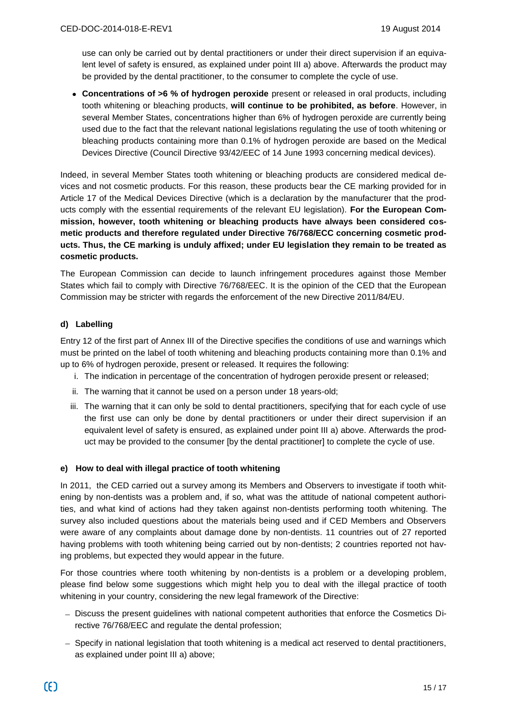use can only be carried out by dental practitioners or under their direct supervision if an equivalent level of safety is ensured, as explained under point III a) above. Afterwards the product may be provided by the dental practitioner, to the consumer to complete the cycle of use.

**Concentrations of >6 % of hydrogen peroxide** present or released in oral products, including tooth whitening or bleaching products, **will continue to be prohibited, as before**. However, in several Member States, concentrations higher than 6% of hydrogen peroxide are currently being used due to the fact that the relevant national legislations regulating the use of tooth whitening or bleaching products containing more than 0.1% of hydrogen peroxide are based on the Medical Devices Directive (Council Directive 93/42/EEC of 14 June 1993 concerning medical devices).

Indeed, in several Member States tooth whitening or bleaching products are considered medical devices and not cosmetic products. For this reason, these products bear the CE marking provided for in Article 17 of the Medical Devices Directive (which is a declaration by the manufacturer that the products comply with the essential requirements of the relevant EU legislation). **For the European Commission, however, tooth whitening or bleaching products have always been considered cosmetic products and therefore regulated under Directive 76/768/ECC concerning cosmetic products. Thus, the CE marking is unduly affixed; under EU legislation they remain to be treated as cosmetic products.**

The European Commission can decide to launch infringement procedures against those Member States which fail to comply with Directive 76/768/EEC. It is the opinion of the CED that the European Commission may be stricter with regards the enforcement of the new Directive 2011/84/EU.

#### **d) Labelling**

Entry 12 of the first part of Annex III of the Directive specifies the conditions of use and warnings which must be printed on the label of tooth whitening and bleaching products containing more than 0.1% and up to 6% of hydrogen peroxide, present or released. It requires the following:

- i. The indication in percentage of the concentration of hydrogen peroxide present or released;
- ii. The warning that it cannot be used on a person under 18 years-old;
- iii. The warning that it can only be sold to dental practitioners, specifying that for each cycle of use the first use can only be done by dental practitioners or under their direct supervision if an equivalent level of safety is ensured, as explained under point III a) above. Afterwards the product may be provided to the consumer [by the dental practitioner] to complete the cycle of use.

#### **e) How to deal with illegal practice of tooth whitening**

In 2011, the CED carried out a survey among its Members and Observers to investigate if tooth whitening by non-dentists was a problem and, if so, what was the attitude of national competent authorities, and what kind of actions had they taken against non-dentists performing tooth whitening. The survey also included questions about the materials being used and if CED Members and Observers were aware of any complaints about damage done by non-dentists. 11 countries out of 27 reported having problems with tooth whitening being carried out by non-dentists; 2 countries reported not having problems, but expected they would appear in the future.

For those countries where tooth whitening by non-dentists is a problem or a developing problem, please find below some suggestions which might help you to deal with the illegal practice of tooth whitening in your country, considering the new legal framework of the Directive:

- Discuss the present guidelines with national competent authorities that enforce the Cosmetics Directive 76/768/EEC and regulate the dental profession;
- Specify in national legislation that tooth whitening is a medical act reserved to dental practitioners, as explained under point III a) above;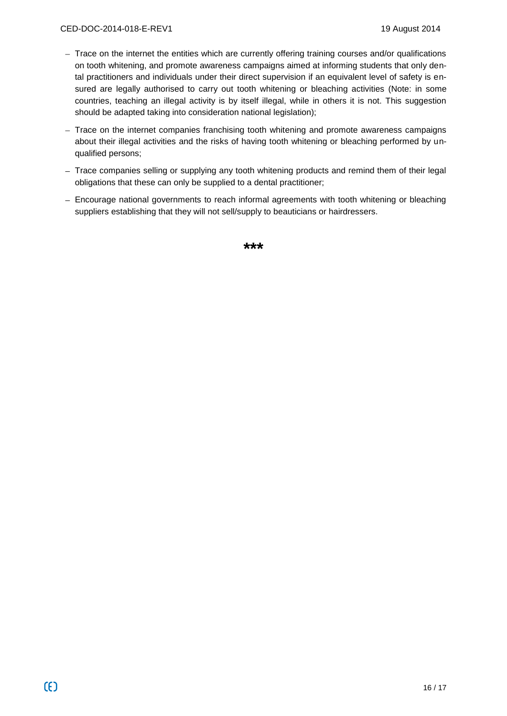- Trace on the internet the entities which are currently offering training courses and/or qualifications on tooth whitening, and promote awareness campaigns aimed at informing students that only dental practitioners and individuals under their direct supervision if an equivalent level of safety is ensured are legally authorised to carry out tooth whitening or bleaching activities (Note: in some countries, teaching an illegal activity is by itself illegal, while in others it is not. This suggestion should be adapted taking into consideration national legislation);
- $-$  Trace on the internet companies franchising tooth whitening and promote awareness campaigns about their illegal activities and the risks of having tooth whitening or bleaching performed by unqualified persons;
- Trace companies selling or supplying any tooth whitening products and remind them of their legal obligations that these can only be supplied to a dental practitioner;
- Encourage national governments to reach informal agreements with tooth whitening or bleaching suppliers establishing that they will not sell/supply to beauticians or hairdressers.

**\*\*\***